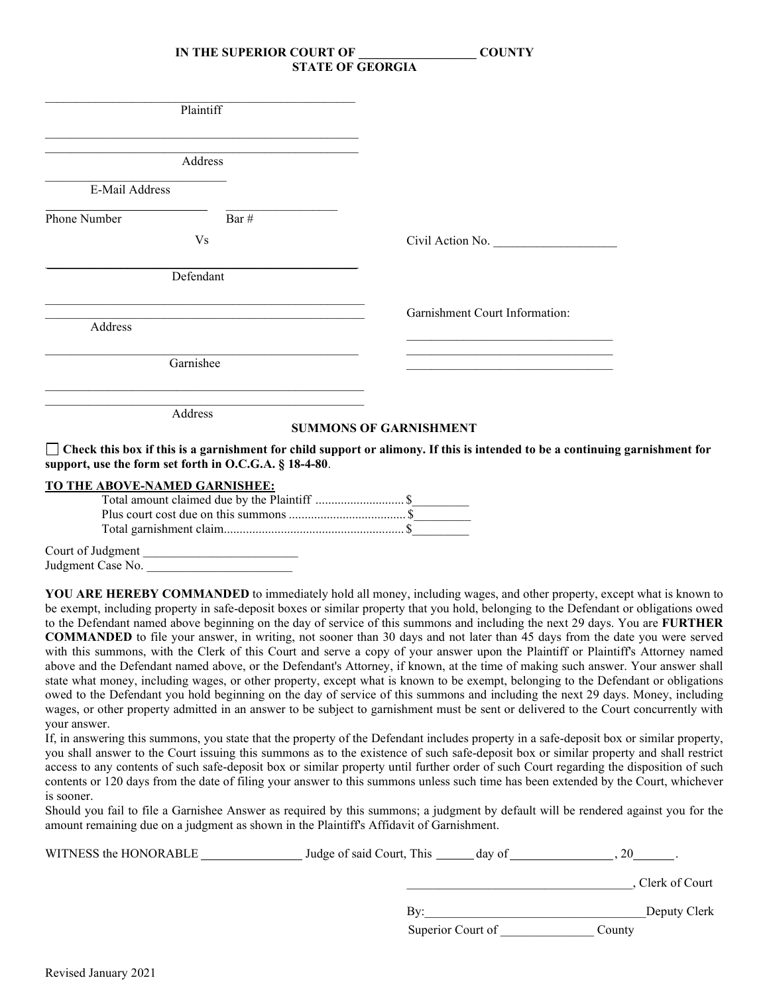| Plaintiff      |                                                                                                                                                                                                                               |                                                                                                                                                                                                              |
|----------------|-------------------------------------------------------------------------------------------------------------------------------------------------------------------------------------------------------------------------------|--------------------------------------------------------------------------------------------------------------------------------------------------------------------------------------------------------------|
|                | Address                                                                                                                                                                                                                       |                                                                                                                                                                                                              |
| E-Mail Address |                                                                                                                                                                                                                               |                                                                                                                                                                                                              |
| Phone Number   | Bar #                                                                                                                                                                                                                         |                                                                                                                                                                                                              |
|                | Vs                                                                                                                                                                                                                            | Civil Action No.                                                                                                                                                                                             |
|                | Defendant                                                                                                                                                                                                                     |                                                                                                                                                                                                              |
|                | the control of the control of the control of the control of the control of the control of the control of the control of the control of the control of the control of the control of the control of the control of the control | Garnishment Court Information:                                                                                                                                                                               |
| Address        |                                                                                                                                                                                                                               |                                                                                                                                                                                                              |
|                | Garnishee                                                                                                                                                                                                                     | the contract of the contract of the contract of the contract of the contract of the contract of the contract of<br>the control of the control of the control of the control of the control of the control of |
|                | Address                                                                                                                                                                                                                       | <b>SUMMONS OF GARNISHMENT</b>                                                                                                                                                                                |

## **TO THE ABOVE-NAMED GARNISHEE:**

Court of Judgment Judgment Case No.

**YOU ARE HEREBY COMMANDED** to immediately hold all money, including wages, and other property, except what is known to be exempt, including property in safe-deposit boxes or similar property that you hold, belonging to the Defendant or obligations owed to the Defendant named above beginning on the day of service of this summons and including the next 29 days. You are **FURTHER COMMANDED** to file your answer, in writing, not sooner than 30 days and not later than 45 days from the date you were served with this summons, with the Clerk of this Court and serve a copy of your answer upon the Plaintiff or Plaintiff's Attorney named above and the Defendant named above, or the Defendant's Attorney, if known, at the time of making such answer. Your answer shall state what money, including wages, or other property, except what is known to be exempt, belonging to the Defendant or obligations owed to the Defendant you hold beginning on the day of service of this summons and including the next 29 days. Money, including wages, or other property admitted in an answer to be subject to garnishment must be sent or delivered to the Court concurrently with your answer.

garnishment for

If, in answering this summons, you state that the property of the Defendant includes property in a safe-deposit box or similar property, you shall answer to the Court issuing this summons as to the existence of such safe-deposit box or similar property and shall restrict access to any contents of such safe-deposit box or similar property until further order of such Court regarding the disposition of such contents or 120 days from the date of filing your answer to this summons unless such time has been extended by the Court, whichever is sooner.

Should you fail to file a Garnishee Answer as required by this summons; a judgment by default will be rendered against you for the amount remaining due on a judgment as shown in the Plaintiff's Affidavit of Garnishment.

| WITNESS the HONORABLE | Judge of said Court, This _______ day of |                  |
|-----------------------|------------------------------------------|------------------|
|                       |                                          | , Clerk of Court |
|                       | Bv:                                      | Deputy Clerk     |
|                       | Superior Court of                        | County           |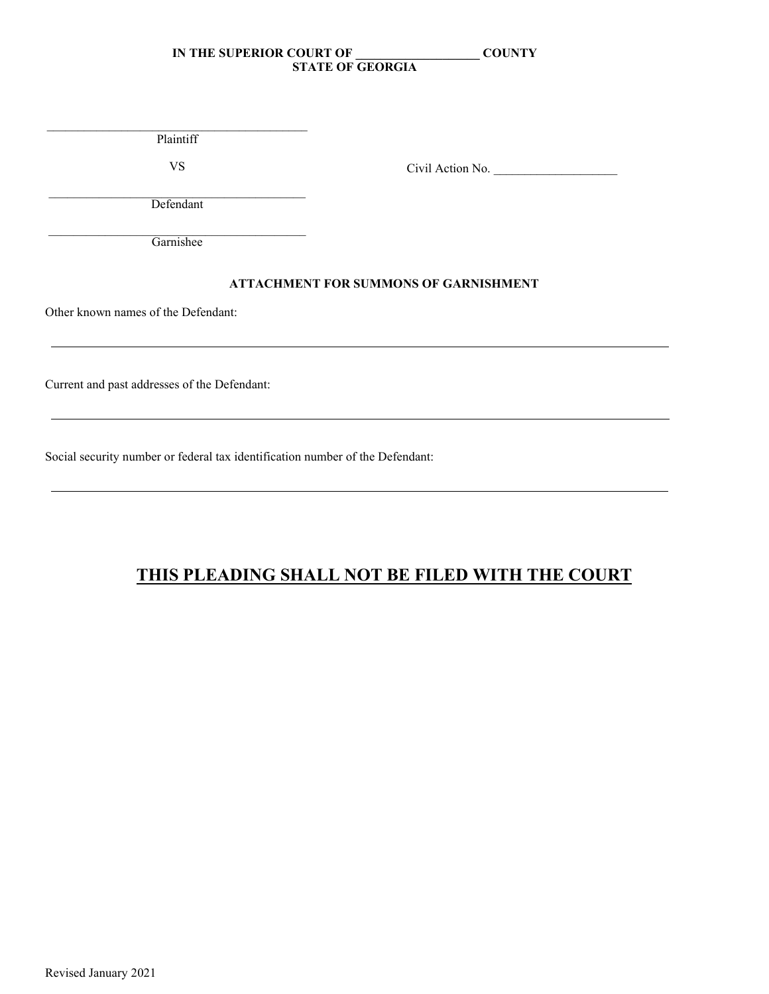\_\_\_\_\_\_\_\_\_\_\_\_\_\_\_\_\_\_\_\_\_\_\_\_\_\_\_\_\_\_\_\_\_\_\_\_\_\_\_\_\_\_ Plaintiff

VS

Civil Action No.

 $\mathcal{L}_\mathcal{L}$  , which is a set of the set of the set of the set of the set of the set of the set of the set of the set of the set of the set of the set of the set of the set of the set of the set of the set of the set of Defendant

 $\mathcal{L}_\mathcal{L} = \mathcal{L}_\mathcal{L} = \mathcal{L}_\mathcal{L} = \mathcal{L}_\mathcal{L} = \mathcal{L}_\mathcal{L} = \mathcal{L}_\mathcal{L} = \mathcal{L}_\mathcal{L} = \mathcal{L}_\mathcal{L} = \mathcal{L}_\mathcal{L} = \mathcal{L}_\mathcal{L} = \mathcal{L}_\mathcal{L} = \mathcal{L}_\mathcal{L} = \mathcal{L}_\mathcal{L} = \mathcal{L}_\mathcal{L} = \mathcal{L}_\mathcal{L} = \mathcal{L}_\mathcal{L} = \mathcal{L}_\mathcal{L}$ **Garnishee** 

## **ATTACHMENT FOR SUMMONS OF GARNISHMENT**

Other known names of the Defendant:

Current and past addresses of the Defendant:

Social security number or federal tax identification number of the Defendant:

# **THIS PLEADING SHALL NOT BE FILED WITH THE COURT**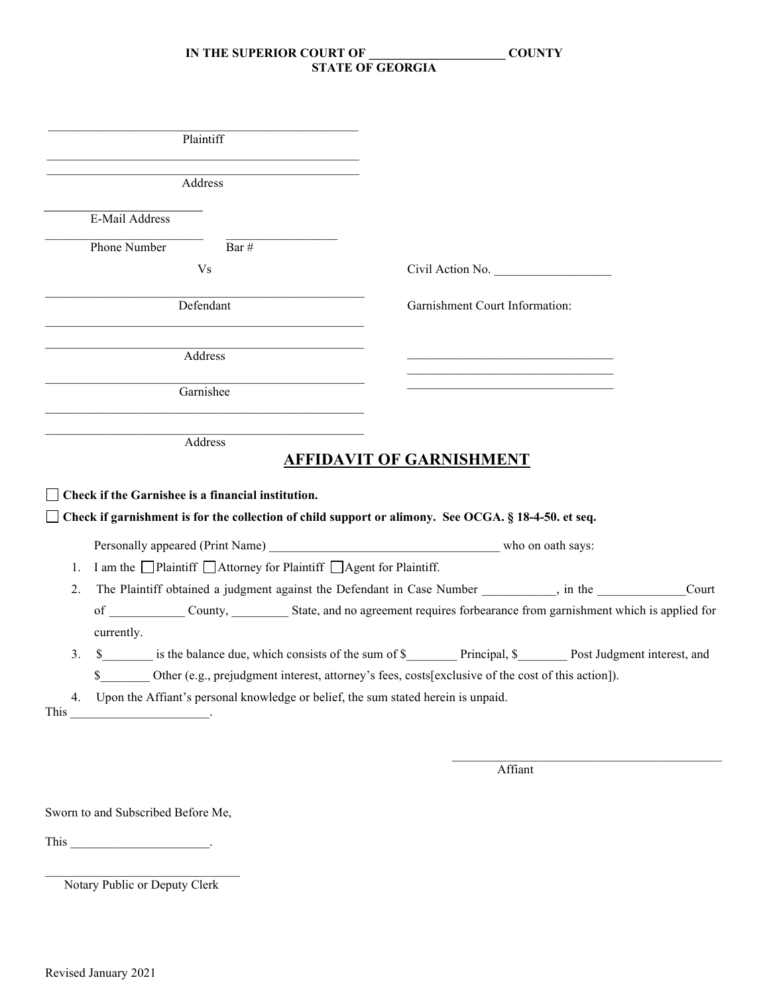| Plaintiff                                                                                              |                                                                                                              |
|--------------------------------------------------------------------------------------------------------|--------------------------------------------------------------------------------------------------------------|
| Address                                                                                                |                                                                                                              |
| E-Mail Address                                                                                         |                                                                                                              |
| Phone Number<br>Bar #                                                                                  |                                                                                                              |
| V <sub>s</sub>                                                                                         | Civil Action No.                                                                                             |
| Defendant                                                                                              | Garnishment Court Information:                                                                               |
| Address                                                                                                |                                                                                                              |
| Garnishee                                                                                              |                                                                                                              |
| Address<br>$\Box$ Check if the Garnishee is a financial institution.                                   | <b>AFFIDAVIT OF GARNISHMENT</b>                                                                              |
| □ Check if garnishment is for the collection of child support or alimony. See OCGA. § 18-4-50. et seq. |                                                                                                              |
| Personally appeared (Print Name) who on oath says:                                                     |                                                                                                              |
| I am the □Plaintiff □Attorney for Plaintiff □Agent for Plaintiff.<br>1.                                |                                                                                                              |
| 2.                                                                                                     | The Plaintiff obtained a judgment against the Defendant in Case Number _________, in the __________<br>Court |
| currently.                                                                                             | of County, County, State, and no agreement requires forbearance from garnishment which is applied for        |
| 3.                                                                                                     | \$ is the balance due, which consists of the sum of \$ Principal, \$ Post Judgment interest, and             |
| $\mathbb{S}$                                                                                           | Other (e.g., prejudgment interest, attorney's fees, costs[exclusive of the cost of this action]).            |
| Upon the Affiant's personal knowledge or belief, the sum stated herein is unpaid.<br>4.                |                                                                                                              |
| This                                                                                                   |                                                                                                              |
|                                                                                                        |                                                                                                              |
|                                                                                                        | $\Lambda$ CC $\sim$ $\Lambda$                                                                                |

Affiant

Sworn to and Subscribed Before Me,

This \_\_\_\_\_\_\_\_\_\_\_\_\_\_\_\_\_\_\_\_\_\_.

\_\_\_\_\_\_\_\_\_\_\_\_\_\_\_\_\_\_\_\_\_\_\_\_\_\_\_\_\_\_\_ Notary Public or Deputy Clerk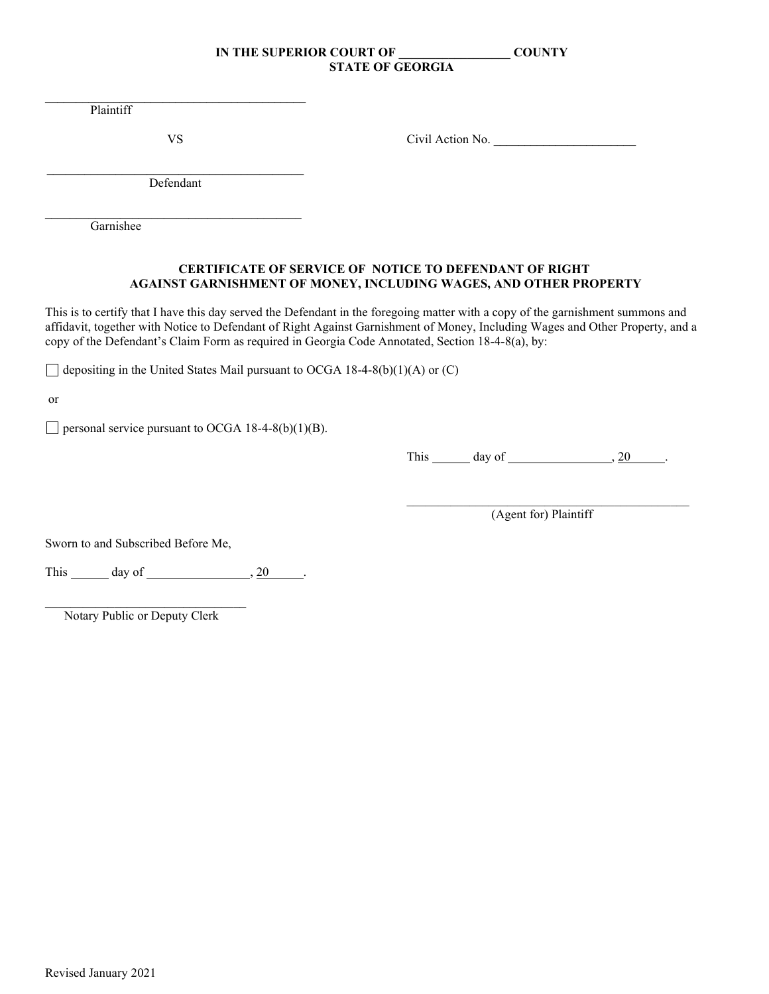Plaintiff

 $\mathcal{L}_\mathcal{L} = \mathcal{L}_\mathcal{L} = \mathcal{L}_\mathcal{L} = \mathcal{L}_\mathcal{L} = \mathcal{L}_\mathcal{L} = \mathcal{L}_\mathcal{L} = \mathcal{L}_\mathcal{L} = \mathcal{L}_\mathcal{L} = \mathcal{L}_\mathcal{L} = \mathcal{L}_\mathcal{L} = \mathcal{L}_\mathcal{L} = \mathcal{L}_\mathcal{L} = \mathcal{L}_\mathcal{L} = \mathcal{L}_\mathcal{L} = \mathcal{L}_\mathcal{L} = \mathcal{L}_\mathcal{L} = \mathcal{L}_\mathcal{L}$ 

VS Civil Action No. \_\_\_\_\_\_\_\_\_\_\_\_\_\_\_\_\_\_\_\_\_\_\_

 $\mathcal{L}_\mathcal{L}$  , which is a set of the set of the set of the set of the set of the set of the set of the set of the set of the set of the set of the set of the set of the set of the set of the set of the set of the set of Defendant

\_\_\_\_\_\_\_\_\_\_\_\_\_\_\_\_\_\_\_\_\_\_\_\_\_\_\_\_\_\_\_\_\_\_\_\_\_\_\_\_\_ Garnishee

## **CERTIFICATE OF SERVICE OF NOTICE TO DEFENDANT OF RIGHT AGAINST GARNISHMENT OF MONEY, INCLUDING WAGES, AND OTHER PROPERTY**

This is to certify that I have this day served the Defendant in the foregoing matter with a copy of the garnishment summons and affidavit, together with Notice to Defendant of Right Against Garnishment of Money, Including Wages and Other Property, and a copy of the Defendant's Claim Form as required in Georgia Code Annotated, Section 18-4-8(a), by:

 $\Box$  depositing in the United States Mail pursuant to OCGA 18-4-8(b)(1)(A) or (C)

or

 $\Box$  personal service pursuant to OCGA 18-4-8(b)(1)(B).

This  $\_\_\_\_$  day of  $\_\_\_\_\_\_\_$ . 20  $\_\_\_\_\_\_\_\_\_\.\$ 

\_\_\_\_\_\_\_\_\_\_\_\_\_\_\_\_\_\_\_\_\_\_\_\_\_\_\_\_\_\_\_\_\_\_\_\_\_\_\_\_\_\_\_\_\_ (Agent for) Plaintiff

Sworn to and Subscribed Before Me,

This  $\_\_\_\_$  day of  $\_\_\_\_\_\_\_$ , 20  $\_\_\_\_\_\_\_\_\_\_\_\_\_\_$ 

 $\mathcal{L}_\text{max}$  , which is a set of the set of the set of the set of the set of the set of the set of the set of the set of the set of the set of the set of the set of the set of the set of the set of the set of the set of Notary Public or Deputy Clerk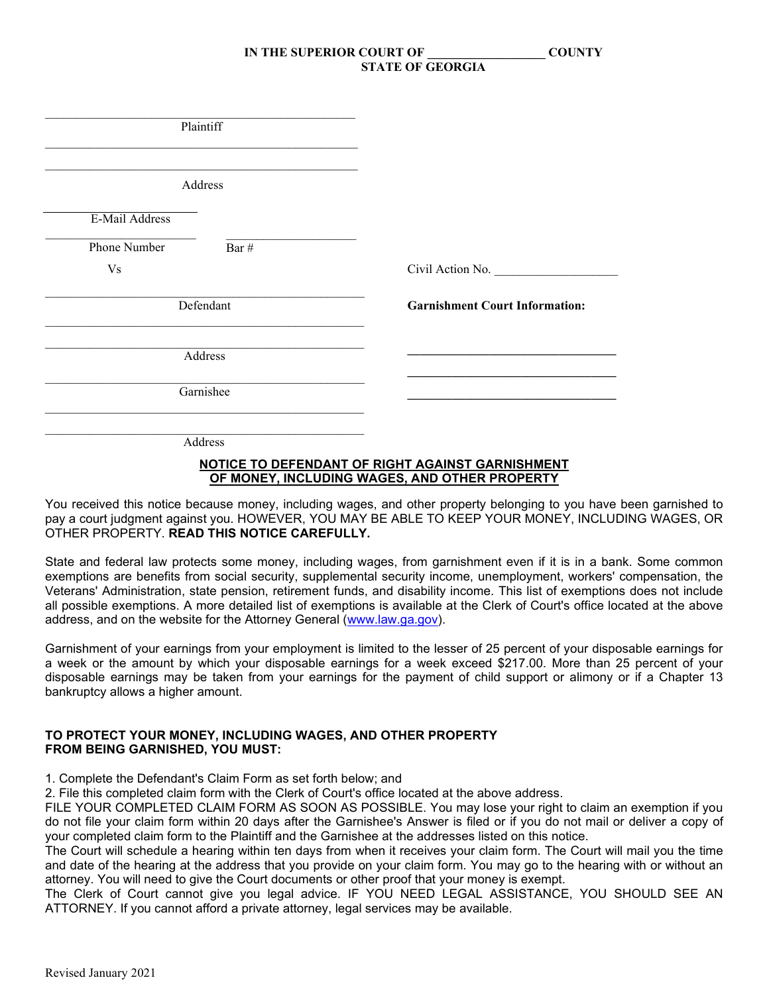| Plaintiff                                                                                                                                                                                                                                |                                       |
|------------------------------------------------------------------------------------------------------------------------------------------------------------------------------------------------------------------------------------------|---------------------------------------|
| the control of the control of the control of the control of the control of the control of the control of the control of the control of the control of the control of the control of the control of the control of the control<br>Address |                                       |
| E-Mail Address                                                                                                                                                                                                                           |                                       |
| Bar #<br>Phone Number                                                                                                                                                                                                                    |                                       |
| <b>Vs</b>                                                                                                                                                                                                                                | Civil Action No.                      |
| Defendant                                                                                                                                                                                                                                | <b>Garnishment Court Information:</b> |
| Address                                                                                                                                                                                                                                  |                                       |
| Garnishee                                                                                                                                                                                                                                |                                       |
| Address                                                                                                                                                                                                                                  |                                       |

#### **NOTICE TO DEFENDANT OF RIGHT AGAINST GARNISHMENT OF MONEY, INCLUDING WAGES, AND OTHER PROPERTY**

You received this notice because money, including wages, and other property belonging to you have been garnished to pay a court judgment against you. HOWEVER, YOU MAY BE ABLE TO KEEP YOUR MONEY, INCLUDING WAGES, OR OTHER PROPERTY. **READ THIS NOTICE CAREFULLY.**

State and federal law protects some money, including wages, from garnishment even if it is in a bank. Some common exemptions are benefits from social security, supplemental security income, unemployment, workers' compensation, the Veterans' Administration, state pension, retirement funds, and disability income. This list of exemptions does not include all possible exemptions. A more detailed list of exemptions is available at the Clerk of Court's office located at the above address, and on the website for the Attorney General [\(www.law.ga.gov\)](http://www.law.ga.gov/).

Garnishment of your earnings from your employment is limited to the lesser of 25 percent of your disposable earnings for a week or the amount by which your disposable earnings for a week exceed \$217.00. More than 25 percent of your disposable earnings may be taken from your earnings for the payment of child support or alimony or if a Chapter 13 bankruptcy allows a higher amount.

#### **TO PROTECT YOUR MONEY, INCLUDING WAGES, AND OTHER PROPERTY FROM BEING GARNISHED, YOU MUST:**

1. Complete the Defendant's Claim Form as set forth below; and

2. File this completed claim form with the Clerk of Court's office located at the above address.

FILE YOUR COMPLETED CLAIM FORM AS SOON AS POSSIBLE. You may lose your right to claim an exemption if you do not file your claim form within 20 days after the Garnishee's Answer is filed or if you do not mail or deliver a copy of your completed claim form to the Plaintiff and the Garnishee at the addresses listed on this notice.

The Court will schedule a hearing within ten days from when it receives your claim form. The Court will mail you the time and date of the hearing at the address that you provide on your claim form. You may go to the hearing with or without an attorney. You will need to give the Court documents or other proof that your money is exempt.

The Clerk of Court cannot give you legal advice. IF YOU NEED LEGAL ASSISTANCE, YOU SHOULD SEE AN ATTORNEY. If you cannot afford a private attorney, legal services may be available.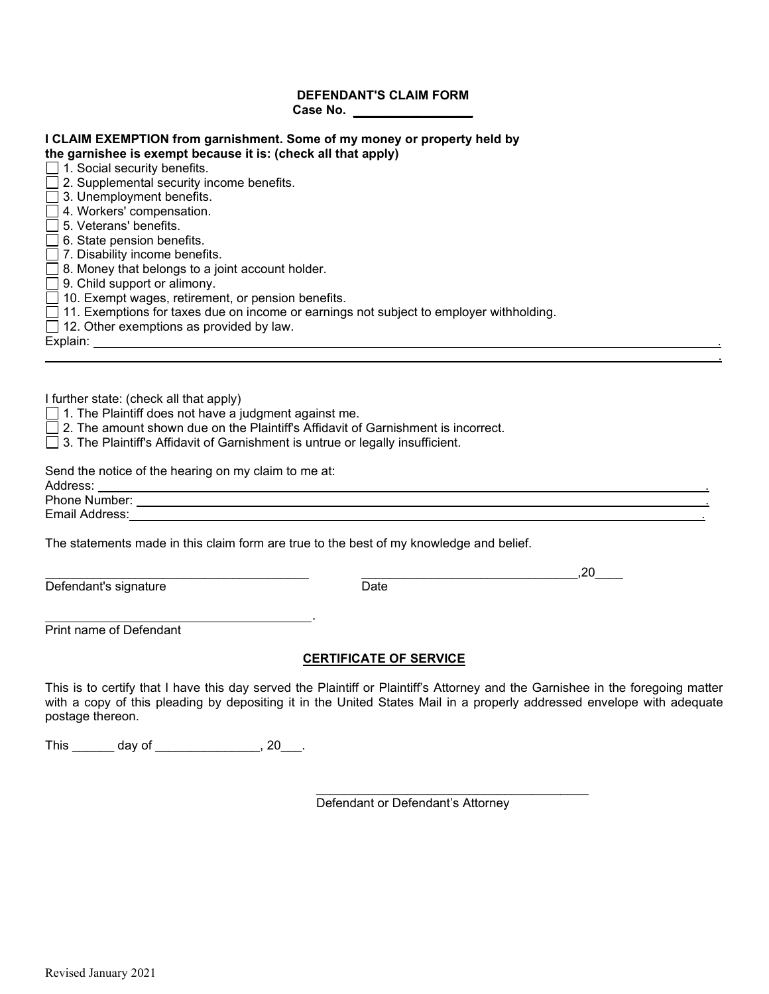## **DEFENDANT'S CLAIM FORM Case No. \_\_\_\_\_\_\_\_\_\_\_\_\_\_\_\_\_\_\_**

| <b>I CLAIM EXEMPTION from garnishment. Some of my money or property held by</b><br>the garnishee is exempt because it is: (check all that apply)<br>$\Box$ 1. Social security benefits.                                                                    |
|------------------------------------------------------------------------------------------------------------------------------------------------------------------------------------------------------------------------------------------------------------|
| $\Box$ 2. Supplemental security income benefits.                                                                                                                                                                                                           |
| $\Box$ 3. Unemployment benefits.                                                                                                                                                                                                                           |
| $\Box$ 4. Workers' compensation.                                                                                                                                                                                                                           |
| 5. Veterans' benefits.                                                                                                                                                                                                                                     |
| $\Box$ 6. State pension benefits.                                                                                                                                                                                                                          |
| $\Box$ 7. Disability income benefits.                                                                                                                                                                                                                      |
| $\Box$ 8. Money that belongs to a joint account holder.<br>$\Box$ 9. Child support or alimony.                                                                                                                                                             |
| $\Box$ 10. Exempt wages, retirement, or pension benefits.                                                                                                                                                                                                  |
| $\Box$ 11. Exemptions for taxes due on income or earnings not subject to employer withholding.                                                                                                                                                             |
| $\Box$ 12. Other exemptions as provided by law.                                                                                                                                                                                                            |
|                                                                                                                                                                                                                                                            |
|                                                                                                                                                                                                                                                            |
|                                                                                                                                                                                                                                                            |
| I further state: (check all that apply)                                                                                                                                                                                                                    |
| $\Box$ 1. The Plaintiff does not have a judgment against me.<br>$\Box$ 2. The amount shown due on the Plaintiff's Affidavit of Garnishment is incorrect.                                                                                                   |
| □ 3. The Plaintiff's Affidavit of Garnishment is untrue or legally insufficient.                                                                                                                                                                           |
|                                                                                                                                                                                                                                                            |
| Send the notice of the hearing on my claim to me at:                                                                                                                                                                                                       |
| Address:                                                                                                                                                                                                                                                   |
| Phone Number: ____<br><u>and the state of the state of the state of the state of the state of the state of the state of the state of the state of the state of the state of the state of the state of the state of the state of the state of the state</u> |
| Email Address:                                                                                                                                                                                                                                             |

The statements made in this claim form are true to the best of my knowledge and belief.

.

Defendant's signature

 $_{\bigcirc}$  Date

Print name of Defendant

## **CERTIFICATE OF SERVICE**

This is to certify that I have this day served the Plaintiff or Plaintiff's Attorney and the Garnishee in the foregoing matter with a copy of this pleading by depositing it in the United States Mail in a properly addressed envelope with adequate postage thereon.

This \_\_\_\_\_\_\_ day of \_\_\_\_\_\_\_\_\_\_\_\_\_\_\_, 20\_\_\_.

\_\_\_\_\_\_\_\_\_\_\_\_\_\_\_\_\_\_\_\_\_\_\_\_\_\_\_\_\_\_\_\_\_\_\_\_\_\_\_ Defendant or Defendant's Attorney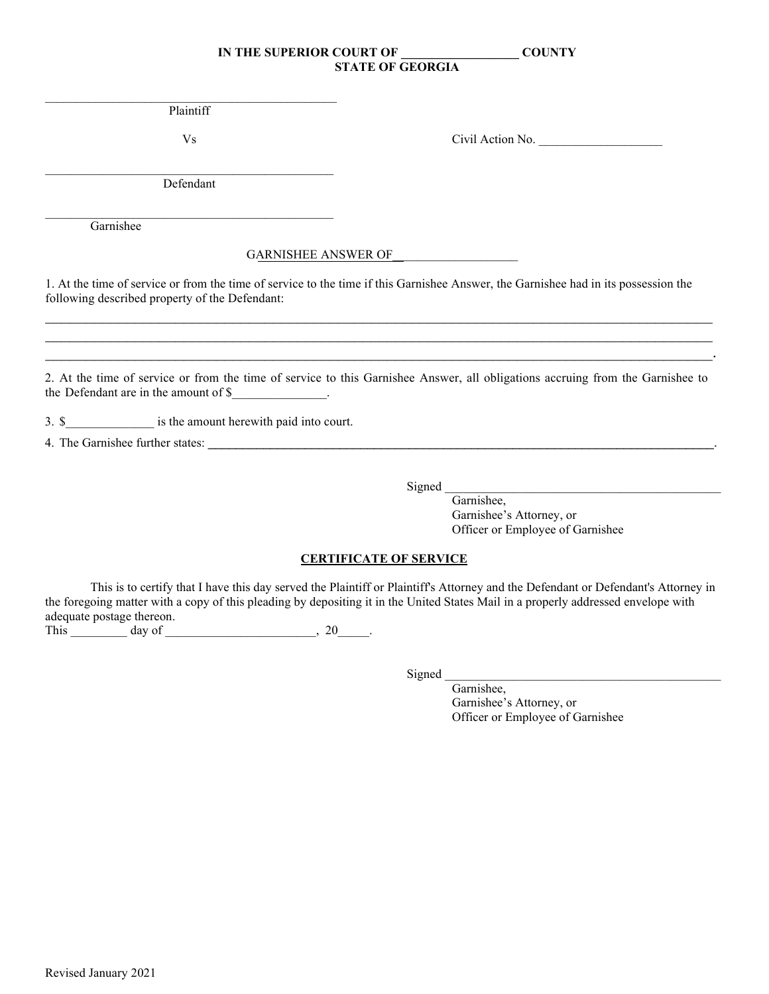$\mathcal{L}_\text{max}$  and  $\mathcal{L}_\text{max}$  and  $\mathcal{L}_\text{max}$  and  $\mathcal{L}_\text{max}$  and  $\mathcal{L}_\text{max}$ Plaintiff

Vs

Civil Action No.

\_\_\_\_\_\_\_\_\_\_\_\_\_\_\_\_\_\_\_\_\_\_\_\_\_\_\_\_\_\_\_\_\_\_\_\_\_\_\_\_\_\_\_\_\_\_ Defendant

\_\_\_\_\_\_\_\_\_\_\_\_\_\_\_\_\_\_\_\_\_\_\_\_\_\_\_\_\_\_\_\_\_\_\_\_\_\_\_\_\_\_\_\_\_\_ Garnishee

## GARNISHEE ANSWER OF

1. At the time of service or from the time of service to the time if this Garnishee Answer, the Garnishee had in its possession the following described property of the Defendant:

\_\_\_\_\_\_\_\_\_\_\_\_\_\_\_\_\_\_\_\_\_\_\_\_\_\_\_\_\_\_\_\_\_\_\_\_\_\_\_\_\_\_\_\_\_\_\_\_\_\_\_\_\_\_\_\_\_\_\_\_\_\_\_\_\_\_\_\_\_\_\_\_\_\_\_\_\_\_\_\_\_\_ \_\_\_\_\_\_\_\_\_\_\_\_\_\_\_\_\_\_\_\_\_\_\_\_\_\_\_\_\_\_\_\_\_\_\_\_\_\_\_\_\_\_\_\_\_\_\_\_\_\_\_\_\_\_\_\_\_\_\_\_\_\_\_\_\_\_\_\_\_\_\_\_\_\_\_\_\_\_\_\_\_\_ \_\_\_\_\_\_\_\_\_\_\_\_\_\_\_\_\_\_\_\_\_\_\_\_\_\_\_\_\_\_\_\_\_\_\_\_\_\_\_\_\_\_\_\_\_\_\_\_\_\_\_\_\_\_\_\_\_\_\_\_\_\_\_\_\_\_\_\_\_\_\_\_\_\_\_\_\_\_\_\_\_\_.

2. At the time of service or from the time of service to this Garnishee Answer, all obligations accruing from the Garnishee to the Defendant are in the amount of \$\_\_\_\_\_\_\_\_\_\_\_\_\_\_\_.

3. \$ is the amount herewith paid into court.

4. The Garnishee further states:

Signed

Garnishee, Garnishee's Attorney, or Officer or Employee of Garnishee

## **CERTIFICATE OF SERVICE**

This is to certify that I have this day served the Plaintiff or Plaintiff's Attorney and the Defendant or Defendant's Attorney in the foregoing matter with a copy of this pleading by depositing it in the United States Mail in a properly addressed envelope with adequate postage thereon.

This day of the contract of the contract of the contract of the contract of the contract of the contract of the contract of the contract of the contract of the contract of the contract of the contract of the contract of th

Signed

Garnishee, Garnishee's Attorney, or Officer or Employee of Garnishee